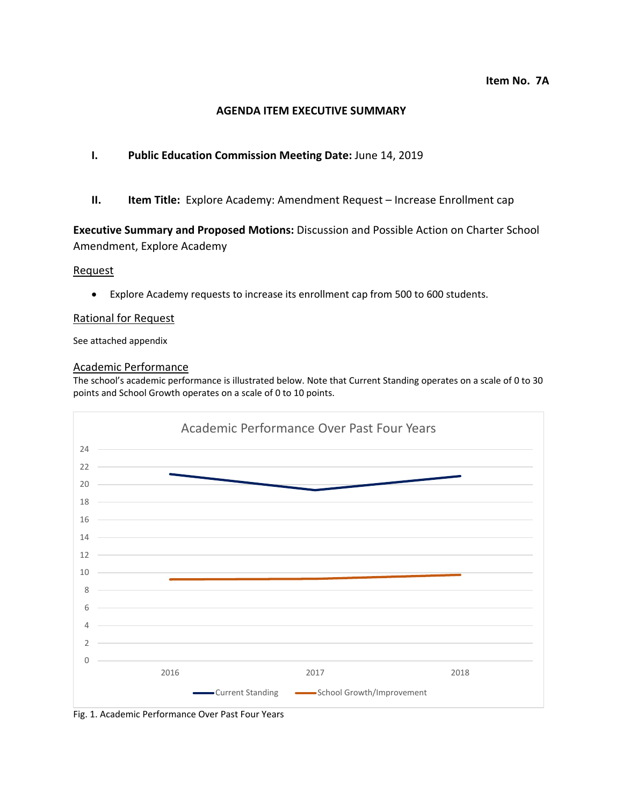### **AGENDA ITEM EXECUTIVE SUMMARY**

### **I. Public Education Commission Meeting Date:** June 14, 2019

**II. Item Title:** Explore Academy: Amendment Request – Increase Enrollment cap

**Executive Summary and Proposed Motions:** Discussion and Possible Action on Charter School Amendment, Explore Academy

#### Request

• Explore Academy requests to increase its enrollment cap from 500 to 600 students.

#### Rational for Request

See attached appendix

### Academic Performance

The school's academic performance is illustrated below. Note that Current Standing operates on a scale of 0 to 30 points and School Growth operates on a scale of 0 to 10 points.



Fig. 1. Academic Performance Over Past Four Years